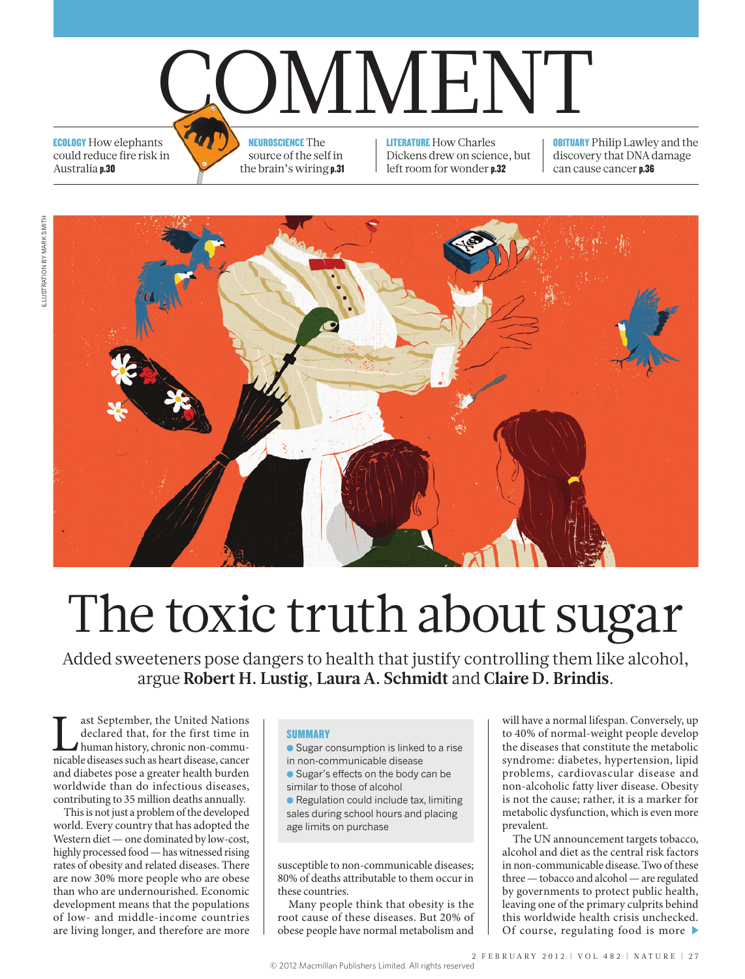# OMMENT

ECOLOGY How elephants could reduce fire risk in Australia p.30

NEUROSCIENCE The source of the self in the brain's wiring p.31 LITERATURE How Charles Dickens drew on science, but left room for wonder p.32

**OBITUARY** Philip Lawley and the discovery that DNA damage can cause cancer p.36



## The toxic truth about sugar

Added sweeteners pose dangers to health that justify controlling them like alcohol, argue **Robert H. Lustig**, **Laura A. Schmidt** and **Claire D. Brindis**.

Last September, the United Nations<br>declared that, for the first time in<br>human history, chronic non-communicable diseases such as heart disease, cancer declared that, for the first time in human history, chronic non-commuand diabetes pose a greater health burden worldwide than do infectious diseases, contributing to 35 million deaths annually.

This is not just a problem of the developed world. Every country that has adopted the Western diet — one dominated by low-cost, highly processed food — has witnessed rising rates of obesity and related diseases. There are now 30% more people who are obese than who are undernourished. Economic development means that the populations of low- and middle-income countries are living longer, and therefore are more

#### **SUMMARY**

- Sugar consumption is linked to a rise
- in non-communicable disease
- Sugar's effects on the body can be similar to those of alcohol
- $\bullet$  Regulation could include tax, limiting sales during school hours and placing age limits on purchase

susceptible to non-communicable diseases; 80% of deaths attributable to them occur in these countries.

Many people think that obesity is the root cause of these diseases. But 20% of obese people have normal metabolism and will have a normal lifespan. Conversely, up to 40% of normal-weight people develop the diseases that constitute the metabolic syndrome: diabetes, hypertension, lipid problems, cardiovascular disease and non-alcoholic fatty liver disease. Obesity is not the cause; rather, it is a marker for metabolic dysfunction, which is even more prevalent.

The UN announcement targets tobacco, alcohol and diet as the central risk factors in non-communicable disease. Two of these three — tobacco and alcohol — are regulated by governments to protect public health, leaving one of the primary culprits behind this worldwide health crisis unchecked. Of course, regulating food is more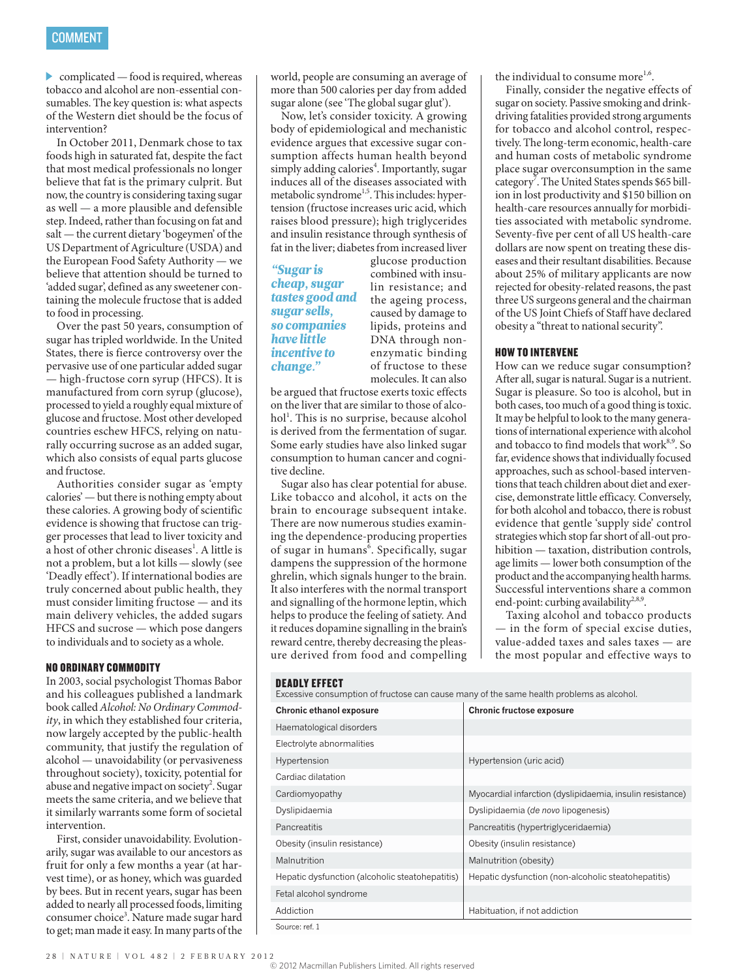$\triangleright$  complicated — food is required, whereas tobacco and alcohol are non-essential consumables. The key question is: what aspects of the Western diet should be the focus of intervention?

In October 2011, Denmark chose to tax foods high in saturated fat, despite the fact that most medical professionals no longer believe that fat is the primary culprit. But now, the country is considering taxing sugar as well — a more plausible and defensible step. Indeed, rather than focusing on fat and salt — the current dietary 'bogeymen' of the US Department of Agriculture (USDA) and the European Food Safety Authority — we believe that attention should be turned to 'added sugar', defined as any sweetener containing the molecule fructose that is added to food in processing.

Over the past 50 years, consumption of sugar has tripled worldwide. In the United States, there is fierce controversy over the pervasive use of one particular added sugar — high-fructose corn syrup (HFCS). It is manufactured from corn syrup (glucose), processed to yield a roughly equal mixture of glucose and fructose. Most other developed countries eschew HFCS, relying on naturally occurring sucrose as an added sugar, which also consists of equal parts glucose and fructose.

Authorities consider sugar as 'empty calories' — but there is nothing empty about these calories. A growing body of scientific evidence is showing that fructose can trigger processes that lead to liver toxicity and a host of other chronic diseases<sup>1</sup>. A little is not a problem, but a lot kills—slowly (see 'Deadly effect'). If international bodies are truly concerned about public health, they must consider limiting fructose — and its main delivery vehicles, the added sugars HFCS and sucrose — which pose dangers to individuals and to society as a whole.

#### NO ORDINARY COMMODITY

In 2003, social psychologist Thomas Babor and his colleagues published a landmark book called *Alcohol: No Ordinary Commodity*, in which they established four criteria, now largely accepted by the public-health community, that justify the regulation of alcohol — unavoidability (or pervasiveness throughout society), toxicity, potential for abuse and negative impact on society<sup>2</sup>. Sugar meets the same criteria, and we believe that it similarly warrants some form of societal intervention.

First, consider unavoidability. Evolutionarily, sugar was available to our ancestors as fruit for only a few months a year (at harvest time), or as honey, which was guarded by bees. But in recent years, sugar has been added to nearly all processed foods, limiting consumer choice<sup>3</sup>. Nature made sugar hard to get; man made it easy. In many parts of the world, people are consuming an average of more than 500 calories per day from added sugar alone (see 'The global sugar glut').

Now, let's consider toxicity. A growing body of epidemiological and mechanistic evidence argues that excessive sugar consumption affects human health beyond simply adding calories<sup>4</sup>. Importantly, sugar induces all of the diseases associated with metabolic syndrome<sup>1,5</sup>. This includes: hypertension (fructose increases uric acid, which raises blood pressure); high triglycerides and insulin resistance through synthesis of fat in the liver; diabetes from increased liver

#### *"Sugar is cheap, sugar tastes good and sugar sells, so companies have little incentive to change."*

glucose production combined with insulin resistance; and the ageing process, caused by damage to lipids, proteins and DNA through nonenzymatic binding of fructose to these molecules. It can also

be argued that fructose exerts toxic effects on the liver that are similar to those of alcohol<sup>1</sup>. This is no surprise, because alcohol is derived from the fermentation of sugar. Some early studies have also linked sugar consumption to human cancer and cognitive decline.

Sugar also has clear potential for abuse. Like tobacco and alcohol, it acts on the brain to encourage subsequent intake. There are now numerous studies examining the dependence-producing properties of sugar in humans<sup>6</sup>. Specifically, sugar dampens the suppression of the hormone ghrelin, which signals hunger to the brain. It also interferes with the normal transport and signalling of the hormone leptin, which helps to produce the feeling of satiety. And it reduces dopamine signalling in the brain's reward centre, thereby decreasing the pleasure derived from food and compelling the individual to consume more $^{1,6}$ .

Finally, consider the negative effects of sugar on society. Passive smoking and drinkdriving fatalities provided strong arguments for tobacco and alcohol control, respectively. The long-term economic, health-care and human costs of metabolic syndrome place sugar overconsumption in the same category<sup>7</sup>. The United States spends \$65 billion in lost productivity and \$150 billion on health-care resources annually for morbidities associated with metabolic syndrome. Seventy-five per cent of all US health-care dollars are now spent on treating these diseases and their resultant disabilities. Because about 25% of military applicants are now rejected for obesity-related reasons, the past three US surgeons general and the chairman of the US Joint Chiefs of Staff have declared obesity a "threat to national security".

#### HOW TO INTERVENE

How can we reduce sugar consumption? After all, sugar is natural. Sugar is a nutrient. Sugar is pleasure. So too is alcohol, but in both cases, too much of a good thing is toxic. It may be helpful to look to the many generations of international experience with alcohol and tobacco to find models that work<sup>8,9</sup>. So far, evidence shows that individually focused approaches, such as school-based interventions that teach children about diet and exercise, demonstrate little efficacy. Conversely, for both alcohol and tobacco, there is robust evidence that gentle 'supply side' control strategies which stop far short of all-out prohibition — taxation, distribution controls, age limits — lower both consumption of the product and the accompanying health harms. Successful interventions share a common end-point: curbing availability $2,8,9$ .

Taxing alcohol and tobacco products — in the form of special excise duties, value-added taxes and sales taxes — are the most popular and effective ways to

#### DEADLY EFFECT

Excessive consumption of fructose can cause many of the same health problems as alcohol.

| <b>Chronic ethanol exposure</b>                 | <b>Chronic fructose exposure</b>                          |
|-------------------------------------------------|-----------------------------------------------------------|
| Haematological disorders                        |                                                           |
| Electrolyte abnormalities                       |                                                           |
| Hypertension                                    | Hypertension (uric acid)                                  |
| Cardiac dilatation                              |                                                           |
| Cardiomyopathy                                  | Myocardial infarction (dyslipidaemia, insulin resistance) |
| Dyslipidaemia                                   | Dyslipidaemia (de novo lipogenesis)                       |
| <b>Pancreatitis</b>                             | Pancreatitis (hypertriglyceridaemia)                      |
| Obesity (insulin resistance)                    | Obesity (insulin resistance)                              |
| Malnutrition                                    | Malnutrition (obesity)                                    |
| Hepatic dysfunction (alcoholic steatohepatitis) | Hepatic dysfunction (non-alcoholic steatohepatitis)       |
| Fetal alcohol syndrome                          |                                                           |
| Addiction                                       | Habituation, if not addiction                             |
| Source: ref. 1                                  |                                                           |

28 | NATURE | VOL 482 | 2 FEBRUARY 2012